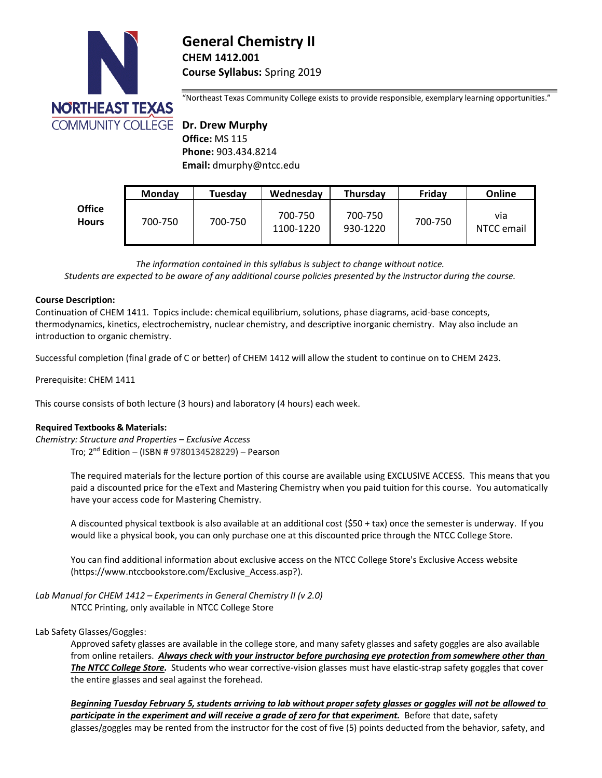

# **General Chemistry II CHEM 1412.001 Course Syllabus:** Spring 2019

"Northeast Texas Community College exists to provide responsible, exemplary learning opportunities."

 **Office:** MS 115  **Phone:** 903.434.8214  **Email:** dmurphy@ntcc.edu

|                               | <b>Monday</b> | Tuesday | Wednesday            | <b>Thursday</b>     | Fridav  | Online            |
|-------------------------------|---------------|---------|----------------------|---------------------|---------|-------------------|
| <b>Office</b><br><b>Hours</b> | 700-750       | 700-750 | 700-750<br>1100-1220 | 700-750<br>930-1220 | 700-750 | via<br>NTCC email |

*The information contained in this syllabus is subject to change without notice.*

*Students are expected to be aware of any additional course policies presented by the instructor during the course.*

### **Course Description:**

Continuation of CHEM 1411. Topics include: chemical equilibrium, solutions, phase diagrams, acid-base concepts, thermodynamics, kinetics, electrochemistry, nuclear chemistry, and descriptive inorganic chemistry. May also include an introduction to organic chemistry.

Successful completion (final grade of C or better) of CHEM 1412 will allow the student to continue on to CHEM 2423.

Prerequisite: CHEM 1411

This course consists of both lecture (3 hours) and laboratory (4 hours) each week.

# **Required Textbooks & Materials:**

*Chemistry: Structure and Properties – Exclusive Access* Tro; 2 nd Edition – (ISBN # 9780134528229) – Pearson

> The required materials for the lecture portion of this course are available using EXCLUSIVE ACCESS. This means that you paid a discounted price for the eText and Mastering Chemistry when you paid tuition for this course. You automatically have your access code for Mastering Chemistry.

A discounted physical textbook is also available at an additional cost (\$50 + tax) once the semester is underway. If you would like a physical book, you can only purchase one at this discounted price through the NTCC College Store.

You can find additional information about exclusive access on the NTCC College Store's Exclusive Access website [\(https://www.ntccbookstore.com/Exclusive\\_Access.asp?\)](https://www.ntccbookstore.com/Exclusive_Access.asp?).

*Lab Manual for CHEM 1412 – Experiments in General Chemistry II (v 2.0)*

NTCC Printing, only available in NTCC College Store

# Lab Safety Glasses/Goggles:

Approved safety glasses are available in the college store, and many safety glasses and safety goggles are also available from online retailers. *Always check with your instructor before purchasing eye protection from somewhere other than The NTCC College Store.* Students who wear corrective-vision glasses must have elastic-strap safety goggles that cover the entire glasses and seal against the forehead.

*Beginning Tuesday February 5, students arriving to lab without proper safety glasses or goggles will not be allowed to participate in the experiment and will receive a grade of zero for that experiment.* Before that date, safety glasses/goggles may be rented from the instructor for the cost of five (5) points deducted from the behavior, safety, and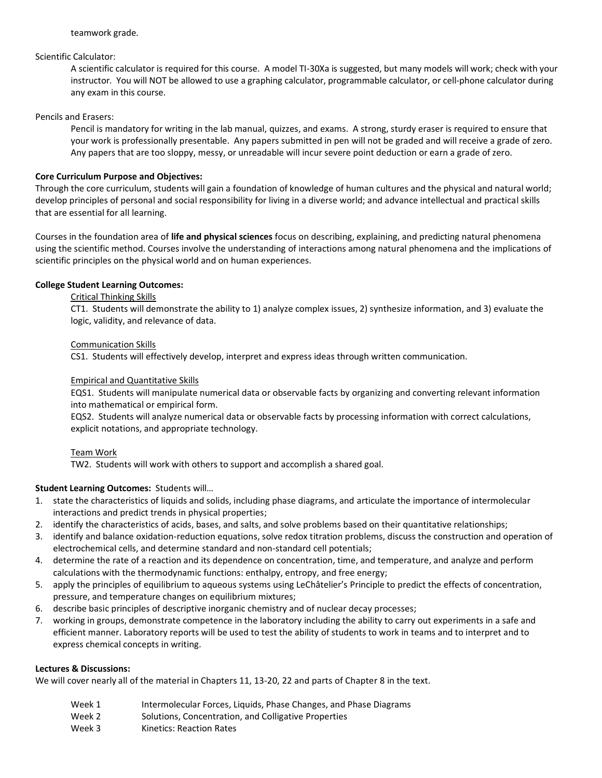# Scientific Calculator:

A scientific calculator is required for this course. A model TI-30Xa is suggested, but many models will work; check with your instructor. You will NOT be allowed to use a graphing calculator, programmable calculator, or cell-phone calculator during any exam in this course.

### Pencils and Erasers:

Pencil is mandatory for writing in the lab manual, quizzes, and exams. A strong, sturdy eraser is required to ensure that your work is professionally presentable. Any papers submitted in pen will not be graded and will receive a grade of zero. Any papers that are too sloppy, messy, or unreadable will incur severe point deduction or earn a grade of zero.

# **Core Curriculum Purpose and Objectives:**

Through the core curriculum, students will gain a foundation of knowledge of human cultures and the physical and natural world; develop principles of personal and social responsibility for living in a diverse world; and advance intellectual and practical skills that are essential for all learning.

Courses in the foundation area of **life and physical sciences** focus on describing, explaining, and predicting natural phenomena using the scientific method. Courses involve the understanding of interactions among natural phenomena and the implications of scientific principles on the physical world and on human experiences.

# **College Student Learning Outcomes:**

# Critical Thinking Skills

CT1. Students will demonstrate the ability to 1) analyze complex issues, 2) synthesize information, and 3) evaluate the logic, validity, and relevance of data.

# Communication Skills

CS1. Students will effectively develop, interpret and express ideas through written communication.

# Empirical and Quantitative Skills

EQS1. Students will manipulate numerical data or observable facts by organizing and converting relevant information into mathematical or empirical form.

EQS2. Students will analyze numerical data or observable facts by processing information with correct calculations, explicit notations, and appropriate technology.

# Team Work

TW2. Students will work with others to support and accomplish a shared goal.

# **Student Learning Outcomes:** Students will…

- 1. state the characteristics of liquids and solids, including phase diagrams, and articulate the importance of intermolecular interactions and predict trends in physical properties;
- 2. identify the characteristics of acids, bases, and salts, and solve problems based on their quantitative relationships;
- 3. identify and balance oxidation-reduction equations, solve redox titration problems, discuss the construction and operation of electrochemical cells, and determine standard and non‐standard cell potentials;
- 4. determine the rate of a reaction and its dependence on concentration, time, and temperature, and analyze and perform calculations with the thermodynamic functions: enthalpy, entropy, and free energy;
- 5. apply the principles of equilibrium to aqueous systems using LeChâtelier's Principle to predict the effects of concentration, pressure, and temperature changes on equilibrium mixtures;
- 6. describe basic principles of descriptive inorganic chemistry and of nuclear decay processes;
- 7. working in groups, demonstrate competence in the laboratory including the ability to carry out experiments in a safe and efficient manner. Laboratory reports will be used to test the ability of students to work in teams and to interpret and to express chemical concepts in writing.

# **Lectures & Discussions:**

We will cover nearly all of the material in Chapters 11, 13-20, 22 and parts of Chapter 8 in the text.

- Week 1 **Intermolecular Forces, Liquids, Phase Changes, and Phase Diagrams**
- Week 2 Solutions, Concentration, and Colligative Properties
- Week 3 Kinetics: Reaction Rates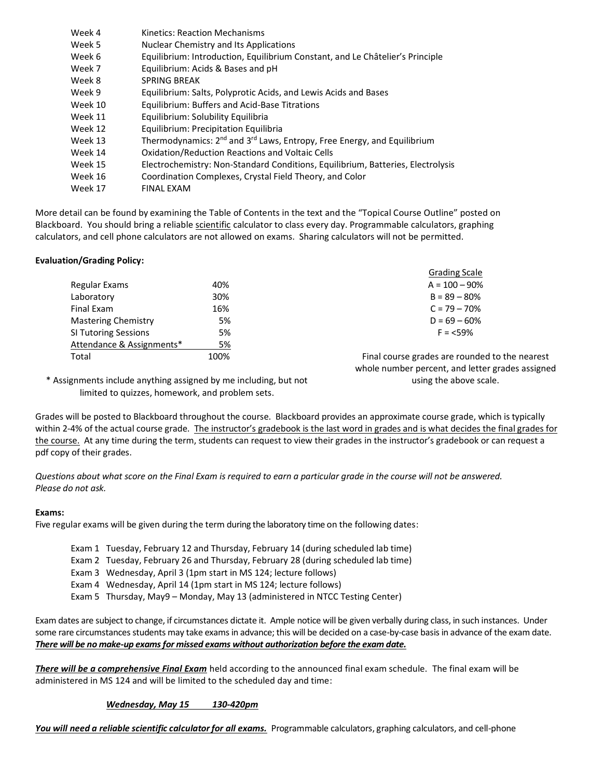| Week 4  | Kinetics: Reaction Mechanisms                                                                   |
|---------|-------------------------------------------------------------------------------------------------|
| Week 5  | Nuclear Chemistry and Its Applications                                                          |
| Week 6  | Equilibrium: Introduction, Equilibrium Constant, and Le Châtelier's Principle                   |
| Week 7  | Equilibrium: Acids & Bases and pH                                                               |
| Week 8  | <b>SPRING BREAK</b>                                                                             |
| Week 9  | Equilibrium: Salts, Polyprotic Acids, and Lewis Acids and Bases                                 |
| Week 10 | <b>Equilibrium: Buffers and Acid-Base Titrations</b>                                            |
| Week 11 | Equilibrium: Solubility Equilibria                                                              |
| Week 12 | Equilibrium: Precipitation Equilibria                                                           |
| Week 13 | Thermodynamics: 2 <sup>nd</sup> and 3 <sup>rd</sup> Laws, Entropy, Free Energy, and Equilibrium |
| Week 14 | <b>Oxidation/Reduction Reactions and Voltaic Cells</b>                                          |
| Week 15 | Electrochemistry: Non-Standard Conditions, Equilibrium, Batteries, Electrolysis                 |
| Week 16 | Coordination Complexes, Crystal Field Theory, and Color                                         |
| Week 17 | <b>FINAL EXAM</b>                                                                               |
|         |                                                                                                 |

More detail can be found by examining the Table of Contents in the text and the "Topical Course Outline" posted on Blackboard. You should bring a reliable scientific calculator to class every day. Programmable calculators, graphing calculators, and cell phone calculators are not allowed on exams. Sharing calculators will not be permitted.

# **Evaluation/Grading Policy:**

|                             |      | <b>Grading Scale</b>            |
|-----------------------------|------|---------------------------------|
| Regular Exams               | 40%  | $A = 100 - 90%$                 |
| Laboratory                  | 30%  | $B = 89 - 80%$                  |
| Final Exam                  | 16%  | $C = 79 - 70%$                  |
| <b>Mastering Chemistry</b>  | 5%   | $D = 69 - 60%$                  |
| <b>SI Tutoring Sessions</b> | 5%   | $F = 59%$                       |
| Attendance & Assignments*   | 5%   |                                 |
| Total                       | 100% | Final course grades are rounded |

al course grades are rounded to the nearest whole number percent, and letter grades assigned using the above scale.

\* Assignments include anything assigned by me including, but not limited to quizzes, homework, and problem sets.

Grades will be posted to Blackboard throughout the course. Blackboard provides an approximate course grade, which is typically within 2-4% of the actual course grade. The instructor's gradebook is the last word in grades and is what decides the final grades for the course. At any time during the term, students can request to view their grades in the instructor's gradebook or can request a pdf copy of their grades.

*Questions about what score on the Final Exam is required to earn a particular grade in the course will not be answered. Please do not ask.*

### **Exams:**

Five regular exams will be given during the term during the laboratory time on the following dates:

- Exam 1 Tuesday, February 12 and Thursday, February 14 (during scheduled lab time)
- Exam 2 Tuesday, February 26 and Thursday, February 28 (during scheduled lab time)
- Exam 3 Wednesday, April 3 (1pm start in MS 124; lecture follows)
- Exam 4 Wednesday, April 14 (1pm start in MS 124; lecture follows)
- Exam 5 Thursday, May9 Monday, May 13 (administered in NTCC Testing Center)

Exam dates are subject to change, if circumstances dictate it. Ample notice will be given verbally during class, in such instances. Under some rare circumstances students may take exams in advance; this will be decided on a case-by-case basis in advance of the exam date. *There will be no make-up exams for missed exams without authorization before the exam date.*

*There will be a comprehensive Final Exam* held according to the announced final exam schedule. The final exam will be administered in MS 124 and will be limited to the scheduled day and time:

#### *Wednesday, May 15 130-420pm*

*You will need a reliable scientific calculator for all exams.* Programmable calculators, graphing calculators, and cell-phone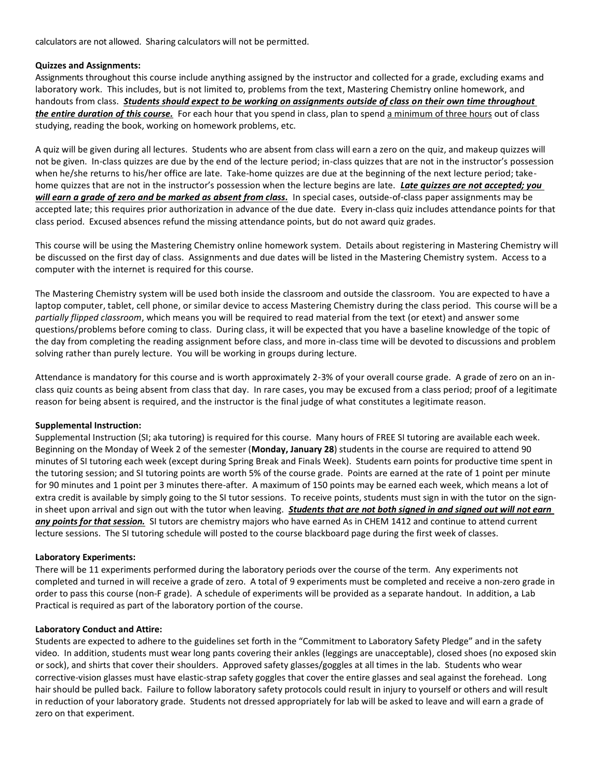calculators are not allowed. Sharing calculators will not be permitted.

### **Quizzes and Assignments:**

Assignments throughout this course include anything assigned by the instructor and collected for a grade, excluding exams and laboratory work. This includes, but is not limited to, problems from the text, Mastering Chemistry online homework, and handouts from class. *Students should expect to be working on assignments outside of class on their own time throughout the entire duration of this course.* For each hour that you spend in class, plan to spend a minimum of three hours out of class studying, reading the book, working on homework problems, etc.

A quiz will be given during all lectures. Students who are absent from class will earn a zero on the quiz, and makeup quizzes will not be given. In-class quizzes are due by the end of the lecture period; in-class quizzes that are not in the instructor's possession when he/she returns to his/her office are late. Take-home quizzes are due at the beginning of the next lecture period; takehome quizzes that are not in the instructor's possession when the lecture begins are late. *Late quizzes are not accepted; you will earn a grade of zero and be marked as absent from class.* In special cases, outside-of-class paper assignments may be accepted late; this requires prior authorization in advance of the due date. Every in-class quiz includes attendance points for that class period. Excused absences refund the missing attendance points, but do not award quiz grades.

This course will be using the Mastering Chemistry online homework system. Details about registering in Mastering Chemistry will be discussed on the first day of class. Assignments and due dates will be listed in the Mastering Chemistry system. Access to a computer with the internet is required for this course.

The Mastering Chemistry system will be used both inside the classroom and outside the classroom. You are expected to have a laptop computer, tablet, cell phone, or similar device to access Mastering Chemistry during the class period. This course will be a *partially flipped classroom*, which means you will be required to read material from the text (or etext) and answer some questions/problems before coming to class. During class, it will be expected that you have a baseline knowledge of the topic of the day from completing the reading assignment before class, and more in-class time will be devoted to discussions and problem solving rather than purely lecture. You will be working in groups during lecture.

Attendance is mandatory for this course and is worth approximately 2-3% of your overall course grade. A grade of zero on an inclass quiz counts as being absent from class that day. In rare cases, you may be excused from a class period; proof of a legitimate reason for being absent is required, and the instructor is the final judge of what constitutes a legitimate reason.

### **Supplemental Instruction:**

Supplemental Instruction (SI; aka tutoring) is required for this course. Many hours of FREE SI tutoring are available each week. Beginning on the Monday of Week 2 of the semester (**Monday, January 28**) students in the course are required to attend 90 minutes of SI tutoring each week (except during Spring Break and Finals Week). Students earn points for productive time spent in the tutoring session; and SI tutoring points are worth 5% of the course grade. Points are earned at the rate of 1 point per minute for 90 minutes and 1 point per 3 minutes there-after. A maximum of 150 points may be earned each week, which means a lot of extra credit is available by simply going to the SI tutor sessions. To receive points, students must sign in with the tutor on the signin sheet upon arrival and sign out with the tutor when leaving. *Students that are not both signed in and signed out will not earn any points for that session.* SI tutors are chemistry majors who have earned As in CHEM 1412 and continue to attend current lecture sessions. The SI tutoring schedule will posted to the course blackboard page during the first week of classes.

### **Laboratory Experiments:**

There will be 11 experiments performed during the laboratory periods over the course of the term. Any experiments not completed and turned in will receive a grade of zero. A total of 9 experiments must be completed and receive a non-zero grade in order to pass this course (non-F grade). A schedule of experiments will be provided as a separate handout. In addition, a Lab Practical is required as part of the laboratory portion of the course.

### **Laboratory Conduct and Attire:**

Students are expected to adhere to the guidelines set forth in the "Commitment to Laboratory Safety Pledge" and in the safety video. In addition, students must wear long pants covering their ankles (leggings are unacceptable), closed shoes (no exposed skin or sock), and shirts that cover their shoulders. Approved safety glasses/goggles at all times in the lab. Students who wear corrective-vision glasses must have elastic-strap safety goggles that cover the entire glasses and seal against the forehead. Long hair should be pulled back. Failure to follow laboratory safety protocols could result in injury to yourself or others and will result in reduction of your laboratory grade. Students not dressed appropriately for lab will be asked to leave and will earn a grade of zero on that experiment.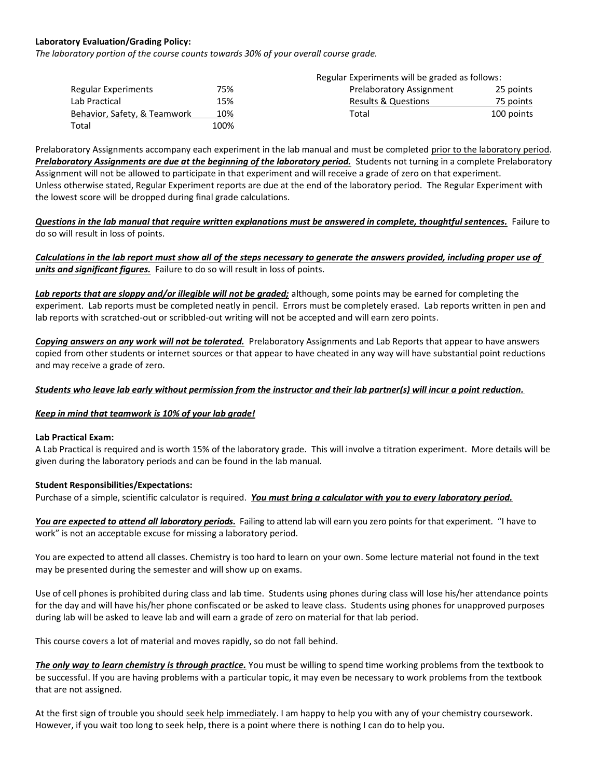### **Laboratory Evaluation/Grading Policy:**

*The laboratory portion of the course counts towards 30% of your overall course grade.*

|                              | Regular Experiments will be graded as follows: |                          |            |
|------------------------------|------------------------------------------------|--------------------------|------------|
| Regular Experiments          | 75%                                            | Prelaboratory Assignment | 25 points  |
| Lab Practical                | 15%                                            | Results & Questions      | 75 points  |
| Behavior, Safety, & Teamwork | 10%                                            | Total                    | 100 points |
| Total                        | 100%                                           |                          |            |

Prelaboratory Assignments accompany each experiment in the lab manual and must be completed prior to the laboratory period. *Prelaboratory Assignments are due at the beginning of the laboratory period.* Students not turning in a complete Prelaboratory Assignment will not be allowed to participate in that experiment and will receive a grade of zero on that experiment. Unless otherwise stated, Regular Experiment reports are due at the end of the laboratory period. The Regular Experiment with the lowest score will be dropped during final grade calculations.

*Questions in the lab manual that require written explanations must be answered in complete, thoughtful sentences.* Failure to do so will result in loss of points.

*Calculations in the lab report must show all of the steps necessary to generate the answers provided, including proper use of units and significant figures.* Failure to do so will result in loss of points.

*Lab reports that are sloppy and/or illegible will not be graded;* although, some points may be earned for completing the experiment. Lab reports must be completed neatly in pencil. Errors must be completely erased. Lab reports written in pen and lab reports with scratched-out or scribbled-out writing will not be accepted and will earn zero points.

*Copying answers on any work will not be tolerated.* Prelaboratory Assignments and Lab Reports that appear to have answers copied from other students or internet sources or that appear to have cheated in any way will have substantial point reductions and may receive a grade of zero.

### *Students who leave lab early without permission from the instructor and their lab partner(s) will incur a point reduction.*

### *Keep in mind that teamwork is 10% of your lab grade!*

### **Lab Practical Exam:**

A Lab Practical is required and is worth 15% of the laboratory grade. This will involve a titration experiment. More details will be given during the laboratory periods and can be found in the lab manual.

### **Student Responsibilities/Expectations:**

Purchase of a simple, scientific calculator is required. *You must bring a calculator with you to every laboratory period.*

*You are expected to attend all laboratory periods.* Failing to attend lab will earn you zero points for that experiment. "I have to work" is not an acceptable excuse for missing a laboratory period.

You are expected to attend all classes. Chemistry is too hard to learn on your own. Some lecture material not found in the text may be presented during the semester and will show up on exams.

Use of cell phones is prohibited during class and lab time. Students using phones during class will lose his/her attendance points for the day and will have his/her phone confiscated or be asked to leave class. Students using phones for unapproved purposes during lab will be asked to leave lab and will earn a grade of zero on material for that lab period.

This course covers a lot of material and moves rapidly, so do not fall behind.

*The only way to learn chemistry is through practice.* You must be willing to spend time working problems from the textbook to be successful. If you are having problems with a particular topic, it may even be necessary to work problems from the textbook that are not assigned.

At the first sign of trouble you should seek help immediately. I am happy to help you with any of your chemistry coursework. However, if you wait too long to seek help, there is a point where there is nothing I can do to help you.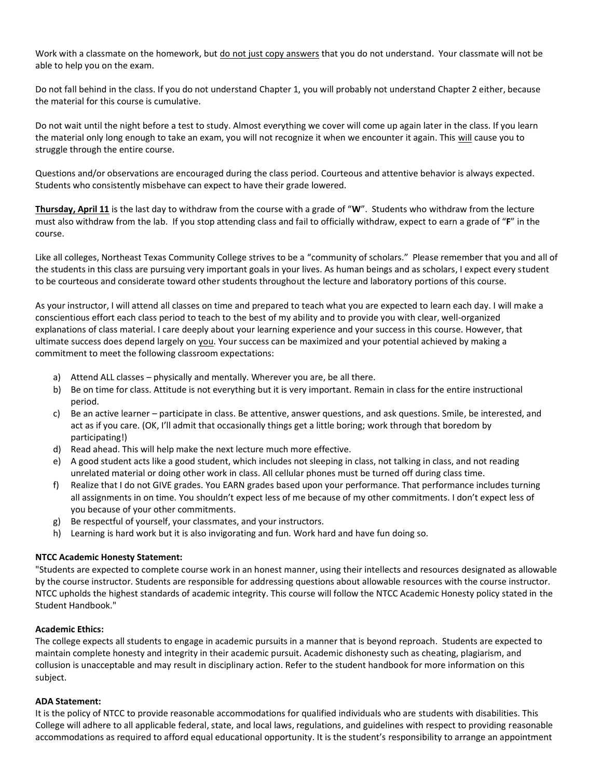Work with a classmate on the homework, but do not just copy answers that you do not understand. Your classmate will not be able to help you on the exam.

Do not fall behind in the class. If you do not understand Chapter 1, you will probably not understand Chapter 2 either, because the material for this course is cumulative.

Do not wait until the night before a test to study. Almost everything we cover will come up again later in the class. If you learn the material only long enough to take an exam, you will not recognize it when we encounter it again. This will cause you to struggle through the entire course.

Questions and/or observations are encouraged during the class period. Courteous and attentive behavior is always expected. Students who consistently misbehave can expect to have their grade lowered.

**Thursday, April 11** is the last day to withdraw from the course with a grade of "**W**". Students who withdraw from the lecture must also withdraw from the lab. If you stop attending class and fail to officially withdraw, expect to earn a grade of "**F**" in the course.

Like all colleges, Northeast Texas Community College strives to be a "community of scholars." Please remember that you and all of the students in this class are pursuing very important goals in your lives. As human beings and as scholars, I expect every student to be courteous and considerate toward other students throughout the lecture and laboratory portions of this course.

As your instructor, I will attend all classes on time and prepared to teach what you are expected to learn each day. I will make a conscientious effort each class period to teach to the best of my ability and to provide you with clear, well-organized explanations of class material. I care deeply about your learning experience and your success in this course. However, that ultimate success does depend largely on you. Your success can be maximized and your potential achieved by making a commitment to meet the following classroom expectations:

- a) Attend ALL classes physically and mentally. Wherever you are, be all there.
- b) Be on time for class. Attitude is not everything but it is very important. Remain in class for the entire instructional period.
- c) Be an active learner participate in class. Be attentive, answer questions, and ask questions. Smile, be interested, and act as if you care. (OK, I'll admit that occasionally things get a little boring; work through that boredom by participating!)
- d) Read ahead. This will help make the next lecture much more effective.
- e) A good student acts like a good student, which includes not sleeping in class, not talking in class, and not reading unrelated material or doing other work in class. All cellular phones must be turned off during class time.
- f) Realize that I do not GIVE grades. You EARN grades based upon your performance. That performance includes turning all assignments in on time. You shouldn't expect less of me because of my other commitments. I don't expect less of you because of your other commitments.
- g) Be respectful of yourself, your classmates, and your instructors.
- h) Learning is hard work but it is also invigorating and fun. Work hard and have fun doing so.

# **NTCC Academic Honesty Statement:**

"Students are expected to complete course work in an honest manner, using their intellects and resources designated as allowable by the course instructor. Students are responsible for addressing questions about allowable resources with the course instructor. NTCC upholds the highest standards of academic integrity. This course will follow the NTCC Academic Honesty policy stated in the Student Handbook."

### **Academic Ethics:**

The college expects all students to engage in academic pursuits in a manner that is beyond reproach. Students are expected to maintain complete honesty and integrity in their academic pursuit. Academic dishonesty such as cheating, plagiarism, and collusion is unacceptable and may result in disciplinary action. Refer to the student handbook for more information on this subject.

### **ADA Statement:**

It is the policy of NTCC to provide reasonable accommodations for qualified individuals who are students with disabilities. This College will adhere to all applicable federal, state, and local laws, regulations, and guidelines with respect to providing reasonable accommodations as required to afford equal educational opportunity. It is the student's responsibility to arrange an appointment